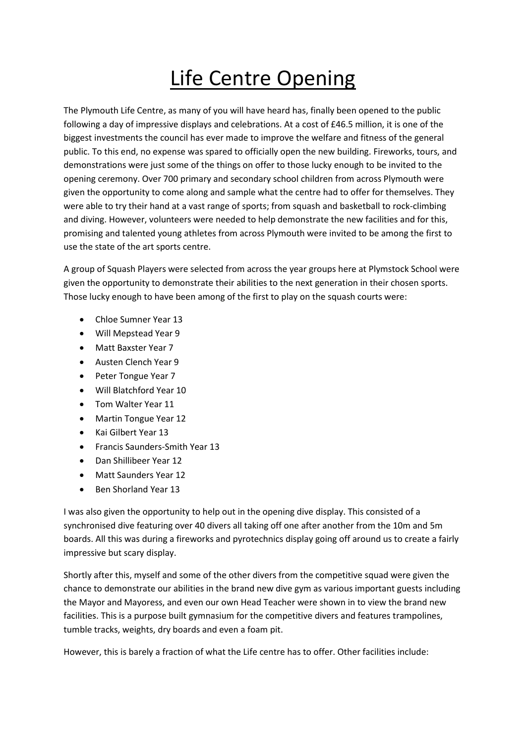## Life Centre Opening

The Plymouth Life Centre, as many of you will have heard has, finally been opened to the public following a day of impressive displays and celebrations. At a cost of £46.5 million, it is one of the biggest investments the council has ever made to improve the welfare and fitness of the general public. To this end, no expense was spared to officially open the new building. Fireworks, tours, and demonstrations were just some of the things on offer to those lucky enough to be invited to the opening ceremony. Over 700 primary and secondary school children from across Plymouth were given the opportunity to come along and sample what the centre had to offer for themselves. They were able to try their hand at a vast range of sports; from squash and basketball to rock-climbing and diving. However, volunteers were needed to help demonstrate the new facilities and for this, promising and talented young athletes from across Plymouth were invited to be among the first to use the state of the art sports centre.

A group of Squash Players were selected from across the year groups here at Plymstock School were given the opportunity to demonstrate their abilities to the next generation in their chosen sports. Those lucky enough to have been among of the first to play on the squash courts were:

- Chloe Sumner Year 13
- Will Mepstead Year 9
- Matt Baxster Year 7
- Austen Clench Year 9
- Peter Tongue Year 7
- Will Blatchford Year 10
- Tom Walter Year 11
- Martin Tongue Year 12
- Kai Gilbert Year 13
- Francis Saunders-Smith Year 13
- Dan Shillibeer Year 12
- Matt Saunders Year 12
- Ben Shorland Year 13

I was also given the opportunity to help out in the opening dive display. This consisted of a synchronised dive featuring over 40 divers all taking off one after another from the 10m and 5m boards. All this was during a fireworks and pyrotechnics display going off around us to create a fairly impressive but scary display.

Shortly after this, myself and some of the other divers from the competitive squad were given the chance to demonstrate our abilities in the brand new dive gym as various important guests including the Mayor and Mayoress, and even our own Head Teacher were shown in to view the brand new facilities. This is a purpose built gymnasium for the competitive divers and features trampolines, tumble tracks, weights, dry boards and even a foam pit.

However, this is barely a fraction of what the Life centre has to offer. Other facilities include: